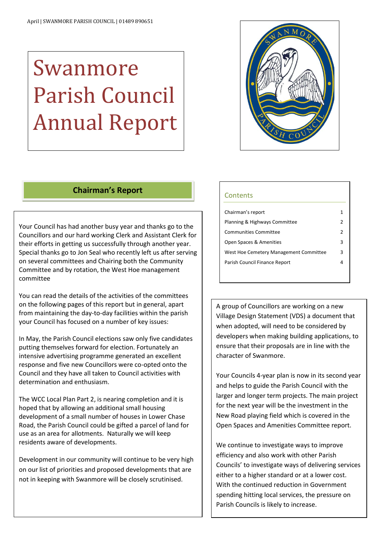# Swanmore Parish Council Annual Report



# **Chairman's Report**

Your Council has had another busy year and thanks go to the Councillors and our hard working Clerk and Assistant Clerk for their efforts in getting us successfully through another year. Special thanks go to Jon Seal who recently left us after serving on several committees and Chairing both the Community Committee and by rotation, the West Hoe management committee

You can read the details of the activities of the committees on the following pages of this report but in general, apart from maintaining the day-to-day facilities within the parish your Council has focused on a number of key issues:

In May, the Parish Council elections saw only five candidates putting themselves forward for election. Fortunately an intensive advertising programme generated an excellent response and five new Councillors were co-opted onto the Council and they have all taken to Council activities with determination and enthusiasm.

The WCC Local Plan Part 2, is nearing completion and it is hoped that by allowing an additional small housing development of a small number of houses in Lower Chase Road, the Parish Council could be gifted a parcel of land for use as an area for allotments. Naturally we will keep residents aware of developments.

Development in our community will continue to be very high on our list of priorities and proposed developments that are not in keeping with Swanmore will be closely scrutinised.

 $\overline{a}$ 

#### **Contents**

| Chairman's report                      |   |
|----------------------------------------|---|
| Planning & Highways Committee          | 2 |
| Communities Committee                  | 2 |
| Open Spaces & Amenities                | 3 |
| West Hoe Cemetery Management Committee | 3 |
| Parish Council Finance Report          |   |
|                                        |   |

A group of Councillors are working on a new Village Design Statement (VDS) a document that when adopted, will need to be considered by developers when making building applications, to ensure that their proposals are in line with the character of Swanmore.

Your Councils 4-year plan is now in its second year and helps to guide the Parish Council with the larger and longer term projects. The main project for the next year will be the investment in the New Road playing field which is covered in the Open Spaces and Amenities Committee report.

We continue to investigate ways to improve efficiency and also work with other Parish Councils' to investigate ways of delivering services either to a higher standard or at a lower cost. With the continued reduction in Government spending hitting local services, the pressure on Parish Councils is likely to increase.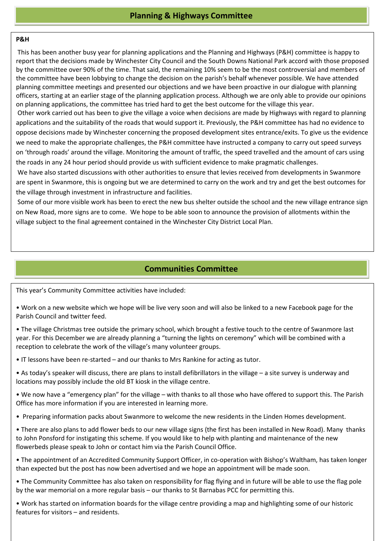### **P&H**

 This has been another busy year for planning applications and the Planning and Highways (P&H) committee is happy to by the committee over 90% of the time. That said, the remaining 10% seem to be the most controversial and members of planning committee meetings and presented our objections and we have been proactive in our dialogue with planning report that the decisions made by Winchester City Council and the South Downs National Park accord with those proposed the committee have been lobbying to change the decision on the parish's behalf whenever possible. We have attended officers, starting at an earlier stage of the planning application process. Although we are only able to provide our opinions on planning applications, the committee has tried hard to get the best outcome for the village this year.

Ì on 'through roads' around the village. Monitoring the amount of traffic, the speed travelled and the amount of cars using Other work carried out has been to give the village a voice when decisions are made by Highways with regard to planning applications and the suitability of the roads that would support it. Previously, the P&H committee has had no evidence to oppose decisions made by Winchester concerning the proposed development sites entrance/exits. To give us the evidence we need to make the appropriate challenges, the P&H committee have instructed a company to carry out speed surveys the roads in any 24 hour period should provide us with sufficient evidence to make pragmatic challenges.

 We have also started discussions with other authorities to ensure that levies received from developments in Swanmore are spent in Swanmore, this is ongoing but we are determined to carry on the work and try and get the best outcomes for<br>example in the work and the work of the work of the work and the work and try and get the best outcome the village through investment in infrastructure and facilities.

 Some of our more visible work has been to erect the new bus shelter outside the school and the new village entrance sign on New Road, more signs are to come. We hope to be able soon to announce the provision of allotments within the village subject to the final agreement contained in the Winchester City District Local Plan.

# **Communities Committee**

This year's Community Committee activities have included:

• Work on a new website which we hope will be live very soon and will also be linked to a new Facebook page for the Parish Council and twitter feed.

• The village Christmas tree outside the primary school, which brought a festive touch to the centre of Swanmore last year. For this December we are already planning a "turning the lights on ceremony" which will be combined with a reception to celebrate the work of the village's many volunteer groups.

• IT lessons have been re-started – and our thanks to Mrs Rankine for acting as tutor.

- As today's speaker will discuss, there are plans to install defibrillators in the village a site survey is underway and locations may possibly include the old BT kiosk in the village centre.
- We now have a "emergency plan" for the village with thanks to all those who have offered to support this. The Parish Office has more information if you are interested in learning more.
- Preparing information packs about Swanmore to welcome the new residents in the Linden Homes development.
- There are also plans to add flower beds to our new village signs (the first has been installed in New Road). Many thanks to John Ponsford for instigating this scheme. If you would like to help with planting and maintenance of the new flowerbeds please speak to John or contact him via the Parish Council Office.
- The appointment of an Accredited Community Support Officer, in co-operation with Bishop's Waltham, has taken longer than expected but the post has now been advertised and we hope an appointment will be made soon.

• The Community Committee has also taken on responsibility for flag flying and in future will be able to use the flag pole by the war memorial on a more regular basis – our thanks to St Barnabas PCC for permitting this.

• Work has started on information boards for the village centre providing a map and highlighting some of our historic features for visitors – and residents.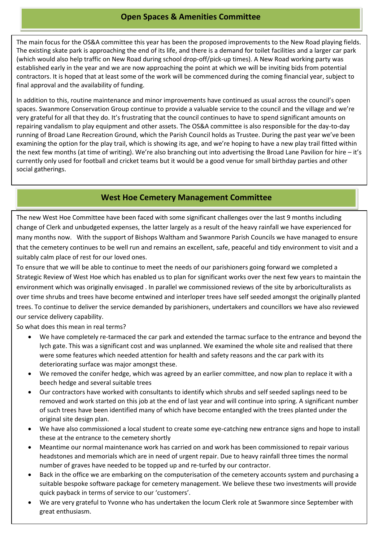## **Open Spaces & Amenities Committee**

The main focus for the OS&A committee this year has been the proposed improvements to the New Road playing fields. The existing skate park is approaching the end of its life, and there is a demand for toilet facilities and a larger car park (which would also help traffic on New Road during school drop-off/pick-up times). A New Road working party was established early in the year and we are now approaching the point at which we will be inviting bids from potential contractors. It is hoped that at least some of the work will be commenced during the coming financial year, subject to final approval and the availability of funding.

In addition to this, routine maintenance and minor improvements have continued as usual across the council's open spaces. Swanmore Conservation Group continue to provide a valuable service to the council and the village and we're very grateful for all that they do. It's frustrating that the council continues to have to spend significant amounts on repairing vandalism to play equipment and other assets. The OS&A committee is also responsible for the day-to-day running of Broad Lane Recreation Ground, which the Parish Council holds as Trustee. During the past year we've been examining the option for the play trail, which is showing its age, and we're hoping to have a new play trail fitted within the next few months (at time of writing). We're also branching out into advertising the Broad Lane Pavilion for hire – it's currently only used for football and cricket teams but it would be a good venue for small birthday parties and other social gatherings.

## **West Hoe Cemetery Management Committee**

The new West Hoe Committee have been faced with some significant challenges over the last 9 months including change of Clerk and unbudgeted expenses, the latter largely as a result of the heavy rainfall we have experienced for many months now. With the support of Bishops Waltham and Swanmore Parish Councils we have managed to ensure that the cemetery continues to be well run and remains an excellent, safe, peaceful and tidy environment to visit and a suitably calm place of rest for our loved ones.

To ensure that we will be able to continue to meet the needs of our parishioners going forward we completed a Strategic Review of West Hoe which has enabled us to plan for significant works over the next few years to maintain the environment which was originally envisaged . In parallel we commissioned reviews of the site by arboriculturalists as over time shrubs and trees have become entwined and interloper trees have self seeded amongst the originally planted trees. To continue to deliver the service demanded by parishioners, undertakers and councillors we have also reviewed our service delivery capability.

So what does this mean in real terms?

- We have completely re-tarmaced the car park and extended the tarmac surface to the entrance and beyond the lych gate. This was a significant cost and was unplanned. We examined the whole site and realised that there were some features which needed attention for health and safety reasons and the car park with its deteriorating surface was major amongst these.
- beech hedge and several suitable trees We removed the conifer hedge, which was agreed by an earlier committee, and now plan to replace it with a
- **•** Our contractors have worked with consultants to identify which shrubs and self seeded saplings need to be of such trees have been identified many of which have become entangled with the trees planted under the removed and work started on this job at the end of last year and will continue into spring. A significant number original site design plan.
- **•** We have also commissioned a local student to create some eye-catching new entrance signs and hope to install Prese at the entrance to the cemetery shortly these at the entrance to the cemetery shortly
- Meantime our normal maintenance work has carried on and work has been commissioned to repair various headstones and memorials which are in need of urgent repair. Due to heavy rainfall three times the normal number of graves have needed to be topped up and re-turfed by our contractor.
- all the state of graves have neceded to be topped up and re-tarred by our contractor.<br>• Back in the office we are embarking on the computerisation of the cemetery accounts system and purchasing a Buch in the smack we are embarining on the compatementent of the cemetery accounts system and paronesing a suitable bespoke software package for cemetery management. We believe these two investments will provide quick payback in terms of service to our 'customers'.
- We are very grateful to Yvonne who has undertaken the locum Clerk role at Swanmore since September with **The Example 2014 Example 2014 Example 2014 Example 2014 Example 2014 Example 2014 Example 2014**